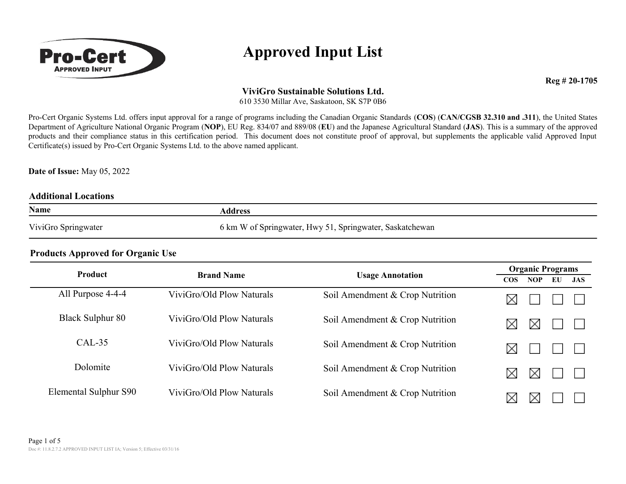

**Reg # 20-1705** 

### **ViviGro Sustainable Solutions Ltd.**

610 3530 Millar Ave, Saskatoon, SK S7P 0B6

Pro-Cert Organic Systems Ltd. offers input approval for a range of programs including the Canadian Organic Standards (**COS**) (**CAN/CGSB 32.310 and .311**), the United States Department of Agriculture National Organic Program (**NOP**), EU Reg. 834/07 and 889/08 (**EU**) and the Japanese Agricultural Standard (**JAS**). This is a summary of the approved products and their compliance status in this certification period. This document does not constitute proof of approval, but supplements the applicable valid Approved Input Certificate(s) issued by Pro-Cert Organic Systems Ltd. to the above named applicant.

**Date of Issue:** May 05, 2022

#### **Additional Locations**

| Name                | Address                                                  |
|---------------------|----------------------------------------------------------|
| ViviGro Springwater | 6 km W of Springwater, Hwy 51, Springwater, Saskatchewan |

| <b>Product</b>          | <b>Brand Name</b>         |                                 | <b>Organic Programs</b>           |  |  |  |
|-------------------------|---------------------------|---------------------------------|-----------------------------------|--|--|--|
|                         |                           | <b>Usage Annotation</b>         | $\cos$<br><b>NOP</b><br>EU<br>JAS |  |  |  |
| All Purpose 4-4-4       | ViviGro/Old Plow Naturals | Soil Amendment & Crop Nutrition | ⋉                                 |  |  |  |
| <b>Black Sulphur 80</b> | ViviGro/Old Plow Naturals | Soil Amendment & Crop Nutrition | Х                                 |  |  |  |
| $CAL-35$                | ViviGro/Old Plow Naturals | Soil Amendment & Crop Nutrition | ⋉                                 |  |  |  |
| Dolomite                | ViviGro/Old Plow Naturals | Soil Amendment & Crop Nutrition | ⋉<br>⋉                            |  |  |  |
| Elemental Sulphur S90   | ViviGro/Old Plow Naturals | Soil Amendment & Crop Nutrition | ⋉<br>IХ                           |  |  |  |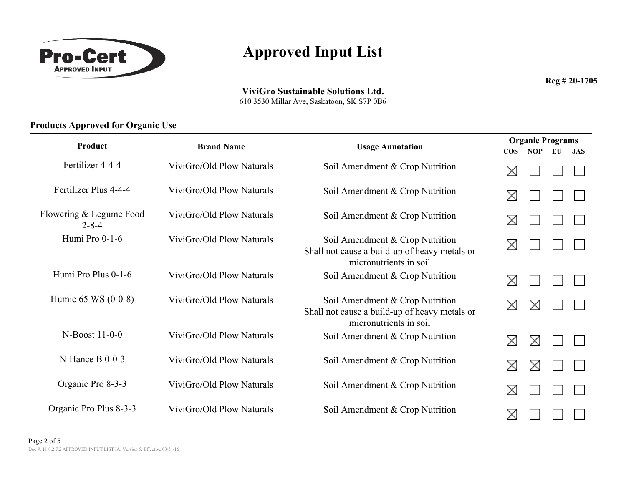

**Reg # 20-1705** 

**ViviGro Sustainable Solutions Ltd.**

610 3530 Millar Ave, Saskatoon, SK S7P 0B6

| Product                                |                           |                                                                                                            | <b>Organic Programs</b> |            |    |            |
|----------------------------------------|---------------------------|------------------------------------------------------------------------------------------------------------|-------------------------|------------|----|------------|
|                                        | <b>Brand Name</b>         | <b>Usage Annotation</b>                                                                                    | $\cos$                  | <b>NOP</b> | EU | <b>JAS</b> |
| Fertilizer 4-4-4                       | ViviGro/Old Plow Naturals | Soil Amendment & Crop Nutrition                                                                            | ⋉                       |            |    |            |
| Fertilizer Plus 4-4-4                  | ViviGro/Old Plow Naturals | Soil Amendment & Crop Nutrition                                                                            | ⋉                       |            |    |            |
| Flowering & Legume Food<br>$2 - 8 - 4$ | ViviGro/Old Plow Naturals | Soil Amendment & Crop Nutrition                                                                            | X                       |            |    |            |
| Humi Pro 0-1-6                         | ViviGro/Old Plow Naturals | Soil Amendment & Crop Nutrition<br>Shall not cause a build-up of heavy metals or<br>micronutrients in soil | X                       |            |    |            |
| Humi Pro Plus 0-1-6                    | ViviGro/Old Plow Naturals | Soil Amendment & Crop Nutrition                                                                            | ⋉                       |            |    |            |
| Humic $65$ WS $(0-0-8)$                | ViviGro/Old Plow Naturals | Soil Amendment & Crop Nutrition<br>Shall not cause a build-up of heavy metals or<br>micronutrients in soil | X                       | $\times$   |    |            |
| N-Boost 11-0-0                         | ViviGro/Old Plow Naturals | Soil Amendment & Crop Nutrition                                                                            | X                       | ⋈          |    |            |
| $N$ -Hance B 0-0-3                     | ViviGro/Old Plow Naturals | Soil Amendment & Crop Nutrition                                                                            | X                       | ⋉          |    |            |
| Organic Pro 8-3-3                      | ViviGro/Old Plow Naturals | Soil Amendment & Crop Nutrition                                                                            | X                       |            |    |            |
| Organic Pro Plus 8-3-3                 | ViviGro/Old Plow Naturals | Soil Amendment & Crop Nutrition                                                                            | ⋉                       |            |    |            |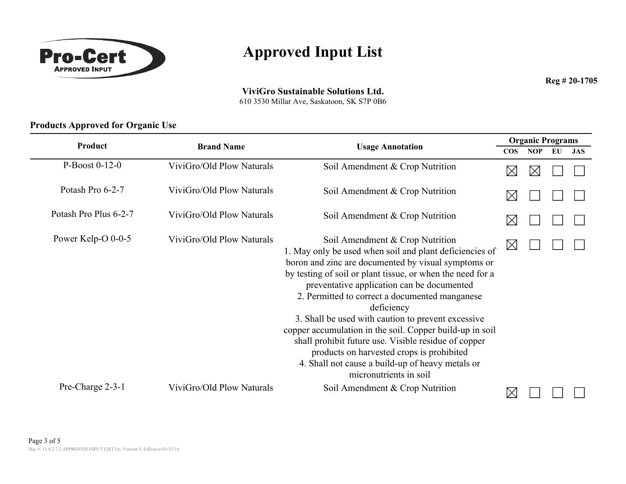

**Reg # 20-1705** 

#### **ViviGro Sustainable Solutions Ltd.**

610 3530 Millar Ave, Saskatoon, SK S7P 0B6

|                       |                           |                                                                                                                                                                                                                                                                                                                                                                                                                                                                                                                                                                                                                                    | <b>Organic Programs</b> |            |    |            |  |
|-----------------------|---------------------------|------------------------------------------------------------------------------------------------------------------------------------------------------------------------------------------------------------------------------------------------------------------------------------------------------------------------------------------------------------------------------------------------------------------------------------------------------------------------------------------------------------------------------------------------------------------------------------------------------------------------------------|-------------------------|------------|----|------------|--|
| Product               | <b>Brand Name</b>         | <b>Usage Annotation</b>                                                                                                                                                                                                                                                                                                                                                                                                                                                                                                                                                                                                            | $\cos$                  | <b>NOP</b> | EU | <b>JAS</b> |  |
| P-Boost $0-12-0$      | ViviGro/Old Plow Naturals | Soil Amendment & Crop Nutrition                                                                                                                                                                                                                                                                                                                                                                                                                                                                                                                                                                                                    | X                       |            |    |            |  |
| Potash Pro 6-2-7      | ViviGro/Old Plow Naturals | Soil Amendment & Crop Nutrition                                                                                                                                                                                                                                                                                                                                                                                                                                                                                                                                                                                                    | $\times$                |            |    |            |  |
| Potash Pro Plus 6-2-7 | ViviGro/Old Plow Naturals | Soil Amendment & Crop Nutrition                                                                                                                                                                                                                                                                                                                                                                                                                                                                                                                                                                                                    | X                       |            |    |            |  |
| Power Kelp-O 0-0-5    | ViviGro/Old Plow Naturals | Soil Amendment & Crop Nutrition<br>1. May only be used when soil and plant deficiencies of<br>boron and zinc are documented by visual symptoms or<br>by testing of soil or plant tissue, or when the need for a<br>preventative application can be documented<br>2. Permitted to correct a documented manganese<br>deficiency<br>3. Shall be used with caution to prevent excessive<br>copper accumulation in the soil. Copper build-up in soil<br>shall prohibit future use. Visible residue of copper<br>products on harvested crops is prohibited<br>4. Shall not cause a build-up of heavy metals or<br>micronutrients in soil | X                       |            |    |            |  |
| Pre-Charge 2-3-1      | ViviGro/Old Plow Naturals | Soil Amendment & Crop Nutrition                                                                                                                                                                                                                                                                                                                                                                                                                                                                                                                                                                                                    | ⋉                       |            |    |            |  |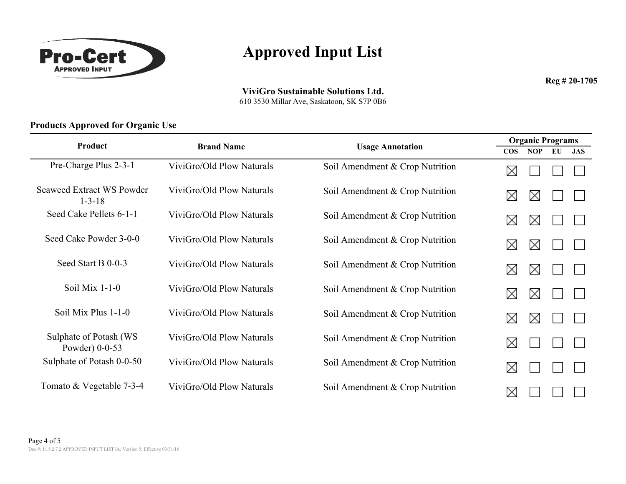

**Reg # 20-1705** 

**ViviGro Sustainable Solutions Ltd.**

610 3530 Millar Ave, Saskatoon, SK S7P 0B6

| Product                                          | <b>Brand Name</b>         |                                 | <b>Organic Programs</b> |            |    |            |
|--------------------------------------------------|---------------------------|---------------------------------|-------------------------|------------|----|------------|
|                                                  |                           | <b>Usage Annotation</b>         | $\cos$                  | <b>NOP</b> | EU | <b>JAS</b> |
| Pre-Charge Plus 2-3-1                            | ViviGro/Old Plow Naturals | Soil Amendment & Crop Nutrition | X                       |            |    |            |
| <b>Seaweed Extract WS Powder</b><br>$1 - 3 - 18$ | ViviGro/Old Plow Naturals | Soil Amendment & Crop Nutrition | $\bowtie$               | ⋉          |    |            |
| Seed Cake Pellets 6-1-1                          | ViviGro/Old Plow Naturals | Soil Amendment & Crop Nutrition | ⊠                       | X          |    |            |
| Seed Cake Powder 3-0-0                           | ViviGro/Old Plow Naturals | Soil Amendment & Crop Nutrition | $\bowtie$               | ⋉          |    |            |
| Seed Start B 0-0-3                               | ViviGro/Old Plow Naturals | Soil Amendment & Crop Nutrition | ⋈                       | X          |    |            |
| Soil Mix $1-1-0$                                 | ViviGro/Old Plow Naturals | Soil Amendment & Crop Nutrition | $\bowtie$               | X          |    |            |
| Soil Mix Plus 1-1-0                              | ViviGro/Old Plow Naturals | Soil Amendment & Crop Nutrition | ⊠                       | ⋈          |    |            |
| Sulphate of Potash (WS)<br>Powder) $0-0-53$      | ViviGro/Old Plow Naturals | Soil Amendment & Crop Nutrition | X                       |            |    |            |
| Sulphate of Potash 0-0-50                        | ViviGro/Old Plow Naturals | Soil Amendment & Crop Nutrition | X                       |            |    |            |
| Tomato & Vegetable 7-3-4                         | ViviGro/Old Plow Naturals | Soil Amendment & Crop Nutrition | X                       |            |    |            |